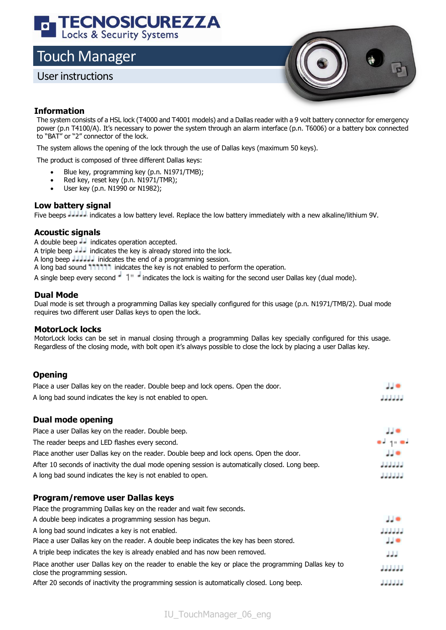# **TECNOSICUREZZA**<br>Locks & Security Systems

## Touch Manager

### User instructions



#### **Information**

The system consists of a HSL lock (T4000 and T4001 models) and a Dallas reader with a 9 volt battery connector for emergency power (p.n T4100/A). It's necessary to power the system through an alarm interface (p.n. T6006) or a battery box connected to "BAT" or "2" connector of the lock.

The system allows the opening of the lock through the use of Dallas keys (maximum 50 keys).

The product is composed of three different Dallas keys:

- Blue key, programming key (p.n. N1971/TMB);
- Red key, reset key (p.n. N1971/TMR);
- User key (p.n. N1990 or N1982);

#### **Low battery signal**

Five beeps **Journal** indicates a low battery level. Replace the low battery immediately with a new alkaline/lithium 9V.

#### **Acoustic signals**

A double beep  $\frac{1}{x}$  indicates operation accepted.

A triple beep  $\frac{1}{2}$  indicates the key is already stored into the lock.

- A long beep **Journal** inidcates the end of a programming session.
- A long bad sound 111111 inidcates the key is not enabled to perform the operation.

A single beep every second  $\frac{1}{n}$  indicates the lock is waiting for the second user Dallas key (dual mode).

#### **Dual Mode**

Dual mode is set through a programming Dallas key specially configured for this usage (p.n. N1971/TMB/2). Dual mode requires two different user Dallas keys to open the lock.

#### **MotorLock locks**

MotorLock locks can be set in manual closing through a programming Dallas key specially configured for this usage. Regardless of the closing mode, with bolt open it's always possible to close the lock by placing a user Dallas key.

#### **Opening**

| Place a user Dallas key on the reader. Double beep and lock opens. Open the door. |                 |
|-----------------------------------------------------------------------------------|-----------------|
| A long bad sound indicates the key is not enabled to open.                        | المرامرات أمراك |

#### **Dual mode opening**

| Place a user Dallas key on the reader. Double beep.                                              | $\frac{1}{2}$        |
|--------------------------------------------------------------------------------------------------|----------------------|
| The reader beeps and LED flashes every second.                                                   | $-1.0$               |
| Place another user Dallas key on the reader. Double beep and lock opens. Open the door.          | ی ل                  |
| After 10 seconds of inactivity the dual mode opening session is automatically closed. Long beep. | المالمام لمامالم     |
| A long bad sound indicates the key is not enabled to open.                                       | المالما لمالما لمالم |

#### **Program/remove user Dallas keys**

| Place the programming Dallas key on the reader and wait few seconds.                                                                   |                   |
|----------------------------------------------------------------------------------------------------------------------------------------|-------------------|
| A double beep indicates a programming session has begun.                                                                               | JJ⊜               |
| A long bad sound indicates a key is not enabled.                                                                                       | ام ام ام ام ام ام |
| Place a user Dallas key on the reader. A double beep indicates the key has been stored.                                                | JJ O              |
| A triple beep indicates the key is already enabled and has now been removed.                                                           | المالمام          |
| Place another user Dallas key on the reader to enable the key or place the programming Dallas key to<br>close the programming session. |                   |
| After 20 seconds of inactivity the programming session is automatically closed. Long beep.                                             |                   |

IU\_TouchManager\_06\_eng